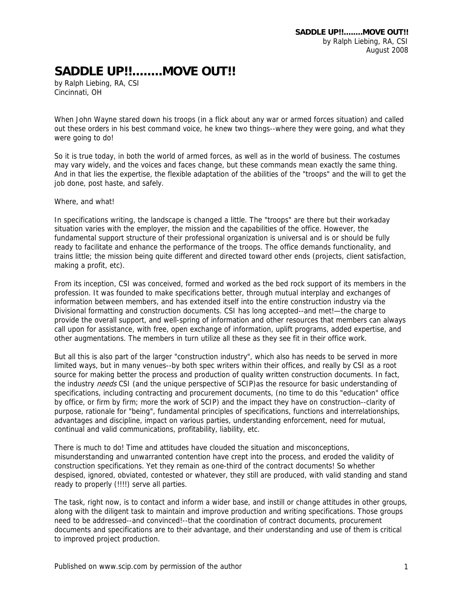## **SADDLE UP!!........MOVE OUT!!**

by Ralph Liebing, RA, CSI Cincinnati, OH

When John Wayne stared down his troops (in a flick about any war or armed forces situation) and called out these orders in his best command voice, he knew two things--where they were going, and what they were going to do!

So it is true today, in both the world of armed forces, as well as in the world of business. The costumes may vary widely, and the voices and faces change, but these commands mean exactly the same thing. And in that lies the expertise, the flexible adaptation of the abilities of the "troops" and the will to get the job done, post haste, and safely.

Where, and what!

In specifications writing, the landscape is changed a little. The "troops" are there but their workaday situation varies with the employer, the mission and the capabilities of the office. However, the fundamental support structure of their professional organization is universal and is or should be fully ready to facilitate and enhance the performance of the troops. The office demands functionality, and trains little; the mission being quite different and directed toward other ends (projects, client satisfaction, making a profit, etc).

From its inception, CSI was conceived, formed and worked as the bed rock support of its members in the profession. It was founded to make specifications better, through mutual interplay and exchanges of information between members, and has extended itself into the entire construction industry via the Divisional formatting and construction documents. CSI has long accepted--and met!—the charge to provide the overall support, and well-spring of information and other resources that members can always call upon for assistance, with free, open exchange of information, uplift programs, added expertise, and other augmentations. The members in turn utilize all these as they see fit in their office work.

But all this is also part of the larger "construction industry", which also has needs to be served in more limited ways, but in many venues--by both spec writers within their offices, and really by CSI as a root source for making better the process and production of quality written construction documents. In fact, the industry *needs* CSI (and the unique perspective of SCIP)as the resource for basic understanding of specifications, including contracting and procurement documents, (no time to do this "education" office by office, or firm by firm; more the work of SCIP) and the impact they have on construction--clarity of purpose, rationale for "being", fundamental principles of specifications, functions and interrelationships, advantages and discipline, impact on various parties, understanding enforcement, need for mutual, continual and valid communications, profitability, liability, etc.

There is much to do! Time and attitudes have clouded the situation and misconceptions, misunderstanding and unwarranted contention have crept into the process, and eroded the validity of construction specifications. Yet they remain as one-third of the contract documents! So whether despised, ignored, obviated, contested or whatever, they still are produced, with valid standing and stand ready to properly (!!!!) serve all parties.

The task, right now, is to contact and inform a wider base, and instill or change attitudes in other groups, along with the diligent task to maintain and improve production and writing specifications. Those groups need to be addressed--and convinced!--that the coordination of contract documents, procurement documents and specifications are to their advantage, and their understanding and use of them is critical to improved project production.